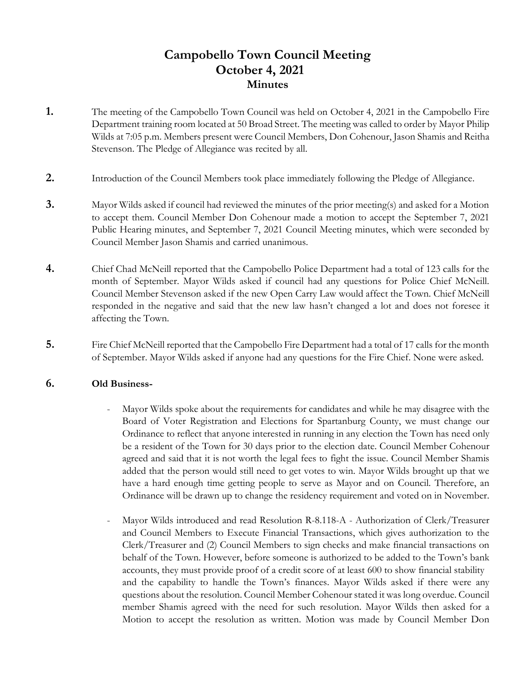# **Campobello Town Council Meeting October 4, 2021 Minutes**

- **1.** The meeting of the Campobello Town Council was held on October 4, 2021 in the Campobello Fire Department training room located at 50 Broad Street. The meeting was called to order by Mayor Philip Wilds at 7:05 p.m. Members present were Council Members, Don Cohenour, Jason Shamis and Reitha Stevenson. The Pledge of Allegiance was recited by all.
- **2.** Introduction of the Council Members took place immediately following the Pledge of Allegiance.
- **3.** Mayor Wilds asked if council had reviewed the minutes of the prior meeting(s) and asked for a Motion to accept them. Council Member Don Cohenour made a motion to accept the September 7, 2021 Public Hearing minutes, and September 7, 2021 Council Meeting minutes, which were seconded by Council Member Jason Shamis and carried unanimous.
- **4.** Chief Chad McNeill reported that the Campobello Police Department had a total of 123 calls for the month of September. Mayor Wilds asked if council had any questions for Police Chief McNeill. Council Member Stevenson asked if the new Open Carry Law would affect the Town. Chief McNeill responded in the negative and said that the new law hasn't changed a lot and does not foresee it affecting the Town.
- **5.** Fire Chief McNeill reported that the Campobello Fire Department had a total of 17 calls for the month of September. Mayor Wilds asked if anyone had any questions for the Fire Chief. None were asked.

## **6. Old Business-**

- Mayor Wilds spoke about the requirements for candidates and while he may disagree with the Board of Voter Registration and Elections for Spartanburg County, we must change our Ordinance to reflect that anyone interested in running in any election the Town has need only be a resident of the Town for 30 days prior to the election date. Council Member Cohenour agreed and said that it is not worth the legal fees to fight the issue. Council Member Shamis added that the person would still need to get votes to win. Mayor Wilds brought up that we have a hard enough time getting people to serve as Mayor and on Council. Therefore, an Ordinance will be drawn up to change the residency requirement and voted on in November.
- Mayor Wilds introduced and read Resolution R-8.118-A Authorization of Clerk/Treasurer and Council Members to Execute Financial Transactions, which gives authorization to the Clerk/Treasurer and (2) Council Members to sign checks and make financial transactions on behalf of the Town. However, before someone is authorized to be added to the Town's bank accounts, they must provide proof of a credit score of at least 600 to show financial stability and the capability to handle the Town's finances. Mayor Wilds asked if there were any questions about the resolution. Council Member Cohenour stated it was long overdue. Council member Shamis agreed with the need for such resolution. Mayor Wilds then asked for a Motion to accept the resolution as written. Motion was made by Council Member Don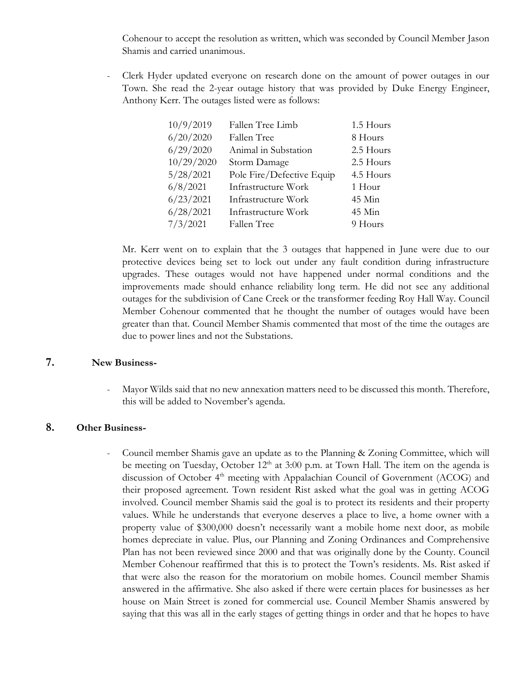Cohenour to accept the resolution as written, which was seconded by Council Member Jason Shamis and carried unanimous.

- Clerk Hyder updated everyone on research done on the amount of power outages in our Town. She read the 2-year outage history that was provided by Duke Energy Engineer, Anthony Kerr. The outages listed were as follows:

| 10/9/2019  | Fallen Tree Limb          | 1.5 Hours |
|------------|---------------------------|-----------|
| 6/20/2020  | Fallen Tree               | 8 Hours   |
| 6/29/2020  | Animal in Substation      | 2.5 Hours |
| 10/29/2020 | Storm Damage              | 2.5 Hours |
| 5/28/2021  | Pole Fire/Defective Equip | 4.5 Hours |
| 6/8/2021   | Infrastructure Work       | 1 Hour    |
| 6/23/2021  | Infrastructure Work       | 45 Min    |
| 6/28/2021  | Infrastructure Work       | 45 Min    |
| 7/3/2021   | Fallen Tree               | 9 Hours   |

Mr. Kerr went on to explain that the 3 outages that happened in June were due to our protective devices being set to lock out under any fault condition during infrastructure upgrades. These outages would not have happened under normal conditions and the improvements made should enhance reliability long term. He did not see any additional outages for the subdivision of Cane Creek or the transformer feeding Roy Hall Way. Council Member Cohenour commented that he thought the number of outages would have been greater than that. Council Member Shamis commented that most of the time the outages are due to power lines and not the Substations.

## **7. New Business-**

- Mayor Wilds said that no new annexation matters need to be discussed this month. Therefore, this will be added to November's agenda.

#### **8. Other Business-**

Council member Shamis gave an update as to the Planning & Zoning Committee, which will be meeting on Tuesday, October  $12<sup>th</sup>$  at 3:00 p.m. at Town Hall. The item on the agenda is discussion of October 4<sup>th</sup> meeting with Appalachian Council of Government (ACOG) and their proposed agreement. Town resident Rist asked what the goal was in getting ACOG involved. Council member Shamis said the goal is to protect its residents and their property values. While he understands that everyone deserves a place to live, a home owner with a property value of \$300,000 doesn't necessarily want a mobile home next door, as mobile homes depreciate in value. Plus, our Planning and Zoning Ordinances and Comprehensive Plan has not been reviewed since 2000 and that was originally done by the County. Council Member Cohenour reaffirmed that this is to protect the Town's residents. Ms. Rist asked if that were also the reason for the moratorium on mobile homes. Council member Shamis answered in the affirmative. She also asked if there were certain places for businesses as her house on Main Street is zoned for commercial use. Council Member Shamis answered by saying that this was all in the early stages of getting things in order and that he hopes to have